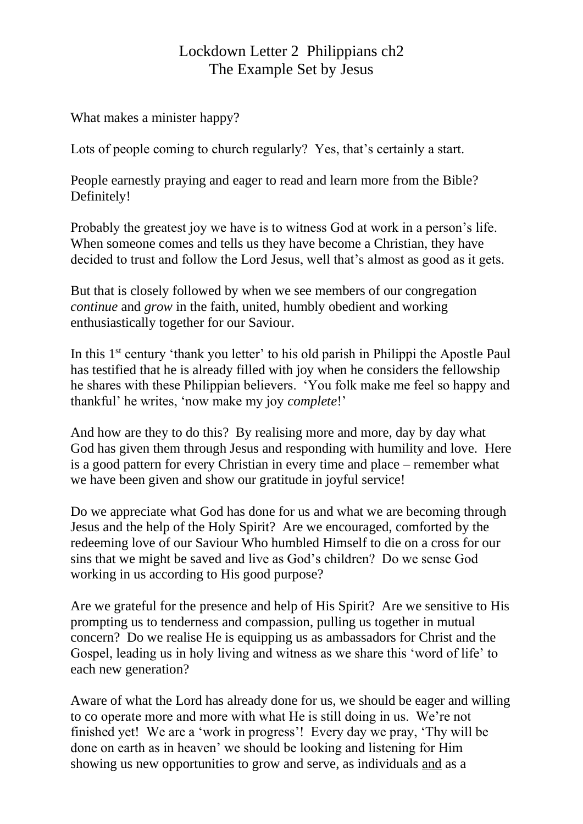## Lockdown Letter 2 Philippians ch2 The Example Set by Jesus

What makes a minister happy?

Lots of people coming to church regularly? Yes, that's certainly a start.

People earnestly praying and eager to read and learn more from the Bible? Definitely!

Probably the greatest joy we have is to witness God at work in a person's life. When someone comes and tells us they have become a Christian, they have decided to trust and follow the Lord Jesus, well that's almost as good as it gets.

But that is closely followed by when we see members of our congregation *continue* and *grow* in the faith, united, humbly obedient and working enthusiastically together for our Saviour.

In this 1<sup>st</sup> century 'thank you letter' to his old parish in Philippi the Apostle Paul has testified that he is already filled with joy when he considers the fellowship he shares with these Philippian believers. 'You folk make me feel so happy and thankful' he writes, 'now make my joy *complete*!'

And how are they to do this? By realising more and more, day by day what God has given them through Jesus and responding with humility and love. Here is a good pattern for every Christian in every time and place – remember what we have been given and show our gratitude in joyful service!

Do we appreciate what God has done for us and what we are becoming through Jesus and the help of the Holy Spirit? Are we encouraged, comforted by the redeeming love of our Saviour Who humbled Himself to die on a cross for our sins that we might be saved and live as God's children? Do we sense God working in us according to His good purpose?

Are we grateful for the presence and help of His Spirit? Are we sensitive to His prompting us to tenderness and compassion, pulling us together in mutual concern? Do we realise He is equipping us as ambassadors for Christ and the Gospel, leading us in holy living and witness as we share this 'word of life' to each new generation?

Aware of what the Lord has already done for us, we should be eager and willing to co operate more and more with what He is still doing in us. We're not finished yet! We are a 'work in progress'! Every day we pray, 'Thy will be done on earth as in heaven' we should be looking and listening for Him showing us new opportunities to grow and serve, as individuals and as a